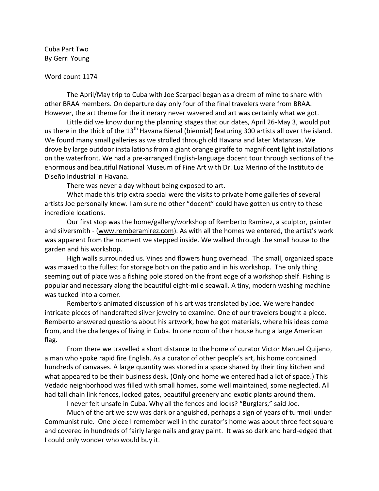Cuba Part Two By Gerri Young

## Word count 1174

The April/May trip to Cuba with Joe Scarpaci began as a dream of mine to share with other BRAA members. On departure day only four of the final travelers were from BRAA. However, the art theme for the itinerary never wavered and art was certainly what we got.

Little did we know during the planning stages that our dates, April 26-May 3, would put us there in the thick of the 13<sup>th</sup> Havana Bienal (biennial) featuring 300 artists all over the island. We found many small galleries as we strolled through old Havana and later Matanzas. We drove by large outdoor installations from a giant orange giraffe to magnificent light installations on the waterfront. We had a pre-arranged English-language docent tour through sections of the enormous and beautiful National Museum of Fine Art with Dr. Luz Merino of the Instituto de Diseño Industrial in Havana.

There was never a day without being exposed to art.

What made this trip extra special were the visits to private home galleries of several artists Joe personally knew. I am sure no other "docent" could have gotten us entry to these incredible locations.

Our first stop was the home/gallery/workshop of Remberto Ramirez, a sculptor, painter and silversmith - [\(www.remberamirez.com\)](http://www.remberamirez.com/). As with all the homes we entered, the artist's work was apparent from the moment we stepped inside. We walked through the small house to the garden and his workshop.

High walls surrounded us. Vines and flowers hung overhead. The small, organized space was maxed to the fullest for storage both on the patio and in his workshop. The only thing seeming out of place was a fishing pole stored on the front edge of a workshop shelf. Fishing is popular and necessary along the beautiful eight-mile seawall. A tiny, modern washing machine was tucked into a corner.

Remberto's animated discussion of his art was translated by Joe. We were handed intricate pieces of handcrafted silver jewelry to examine. One of our travelers bought a piece. Remberto answered questions about his artwork, how he got materials, where his ideas come from, and the challenges of living in Cuba. In one room of their house hung a large American flag.

From there we travelled a short distance to the home of curator Victor Manuel Quijano, a man who spoke rapid fire English. As a curator of other people's art, his home contained hundreds of canvases. A large quantity was stored in a space shared by their tiny kitchen and what appeared to be their business desk. (Only one home we entered had a lot of space.) This Vedado neighborhood was filled with small homes, some well maintained, some neglected. All had tall chain link fences, locked gates, beautiful greenery and exotic plants around them.

I never felt unsafe in Cuba. Why all the fences and locks? "Burglars," said Joe.

Much of the art we saw was dark or anguished, perhaps a sign of years of turmoil under Communist rule. One piece I remember well in the curator's home was about three feet square and covered in hundreds of fairly large nails and gray paint. It was so dark and hard-edged that I could only wonder who would buy it.